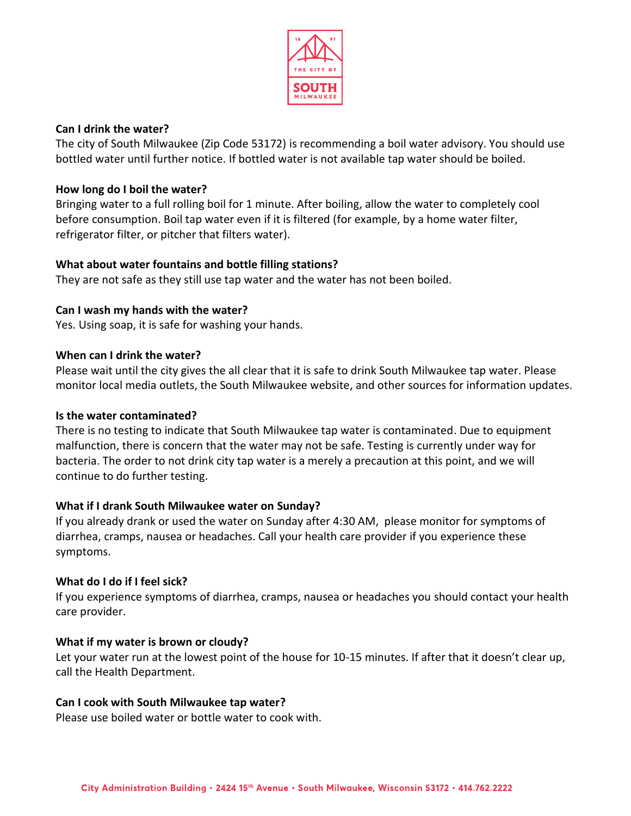

### **Can I drink the water?**

The city of South Milwaukee (Zip Code 53172) is recommending a boil water advisory. You should use bottled water until further notice. If bottled water is not available tap water should be boiled.

## **How long do I boil the water?**

Bringing water to a full rolling boil for 1 minute. After boiling, allow the water to completely cool before consumption. Boil tap water even if it is filtered (for example, by a home water filter, refrigerator filter, or pitcher that filters water).

## **What about water fountains and bottle filling stations?**

They are not safe as they still use tap water and the water has not been boiled.

## **Can I wash my hands with the water?**

Yes. Using soap, it is safe for washing your hands.

#### **When can I drink the water?**

Please wait until the city gives the all clear that it is safe to drink South Milwaukee tap water. Please monitor local media outlets, the South Milwaukee website, and other sources for information updates.

#### **Is the water contaminated?**

There is no testing to indicate that South Milwaukee tap water is contaminated. Due to equipment malfunction, there is concern that the water may not be safe. Testing is currently under way for bacteria. The order to not drink city tap water is a merely a precaution at this point, and we will continue to do further testing.

# **What if I drank South Milwaukee water on Sunday?**

If you already drank or used the water on Sunday after 4:30 AM, please monitor for symptoms of diarrhea, cramps, nausea or headaches. Call your health care provider if you experience these symptoms.

# **What do I do if I feel sick?**

If you experience symptoms of diarrhea, cramps, nausea or headaches you should contact your health care provider.

#### **What if my water is brown or cloudy?**

Let your water run at the lowest point of the house for 10-15 minutes. If after that it doesn't clear up, call the Health Department.

#### **Can I cook with South Milwaukee tap water?**

Please use boiled water or bottle water to cook with.